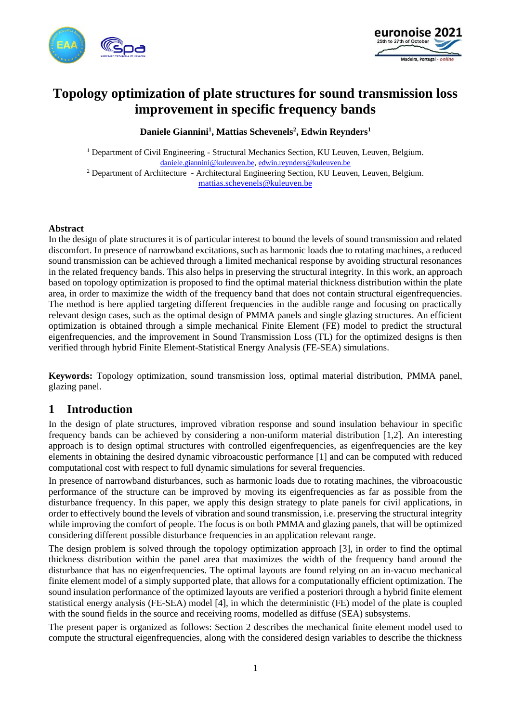



# **Topology optimization of plate structures for sound transmission loss improvement in specific frequency bands**

**Daniele Giannini<sup>1</sup> , Mattias Schevenels<sup>2</sup> , Edwin Reynders<sup>1</sup>**

<sup>1</sup> Department of Civil Engineering - Structural Mechanics Section, KU Leuven, Leuven, Belgium. [daniele.giannini@kuleuven.be,](mailto:daniele.giannini@kuleuven.be) [edwin.reynders@kuleuven.be](mailto:edwin.reynders@kuleuven.be)  <sup>2</sup> Department of Architecture - Architectural Engineering Section, KU Leuven, Leuven, Belgium.

[mattias.schevenels@kuleuven.be](mailto:mattias.schevenels@kuleuven.be)

#### **Abstract**

In the design of plate structures it is of particular interest to bound the levels of sound transmission and related discomfort. In presence of narrowband excitations, such as harmonic loads due to rotating machines, a reduced sound transmission can be achieved through a limited mechanical response by avoiding structural resonances in the related frequency bands. This also helps in preserving the structural integrity. In this work, an approach based on topology optimization is proposed to find the optimal material thickness distribution within the plate area, in order to maximize the width of the frequency band that does not contain structural eigenfrequencies. The method is here applied targeting different frequencies in the audible range and focusing on practically relevant design cases, such as the optimal design of PMMA panels and single glazing structures. An efficient optimization is obtained through a simple mechanical Finite Element (FE) model to predict the structural eigenfrequencies, and the improvement in Sound Transmission Loss (TL) for the optimized designs is then verified through hybrid Finite Element-Statistical Energy Analysis (FE-SEA) simulations.

**Keywords:** Topology optimization, sound transmission loss, optimal material distribution, PMMA panel, glazing panel.

## **1 Introduction**

In the design of plate structures, improved vibration response and sound insulation behaviour in specific frequency bands can be achieved by considering a non-uniform material distribution [1,2]. An interesting approach is to design optimal structures with controlled eigenfrequencies, as eigenfrequencies are the key elements in obtaining the desired dynamic vibroacoustic performance [1] and can be computed with reduced computational cost with respect to full dynamic simulations for several frequencies.

In presence of narrowband disturbances, such as harmonic loads due to rotating machines, the vibroacoustic performance of the structure can be improved by moving its eigenfrequencies as far as possible from the disturbance frequency. In this paper, we apply this design strategy to plate panels for civil applications, in order to effectively bound the levels of vibration and sound transmission, i.e. preserving the structural integrity while improving the comfort of people. The focus is on both PMMA and glazing panels, that will be optimized considering different possible disturbance frequencies in an application relevant range.

The design problem is solved through the topology optimization approach [3], in order to find the optimal thickness distribution within the panel area that maximizes the width of the frequency band around the disturbance that has no eigenfrequencies. The optimal layouts are found relying on an in-vacuo mechanical finite element model of a simply supported plate, that allows for a computationally efficient optimization. The sound insulation performance of the optimized layouts are verified a posteriori through a hybrid finite element statistical energy analysis (FE-SEA) model [4], in which the deterministic (FE) model of the plate is coupled with the sound fields in the source and receiving rooms, modelled as diffuse (SEA) subsystems.

The present paper is organized as follows: Section 2 describes the mechanical finite element model used to compute the structural eigenfrequencies, along with the considered design variables to describe the thickness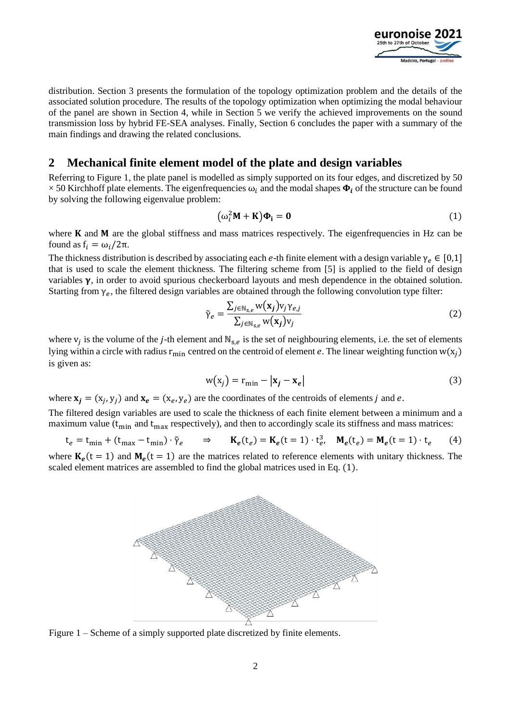

distribution. Section 3 presents the formulation of the topology optimization problem and the details of the associated solution procedure. The results of the topology optimization when optimizing the modal behaviour of the panel are shown in Section 4, while in Section 5 we verify the achieved improvements on the sound transmission loss by hybrid FE-SEA analyses. Finally, Section 6 concludes the paper with a summary of the main findings and drawing the related conclusions.

#### **2 Mechanical finite element model of the plate and design variables**

Referring to Figure 1, the plate panel is modelled as simply supported on its four edges, and discretized by 50  $\times$  50 Kirchhoff plate elements. The eigenfrequencies  $\omega_i$  and the modal shapes  $\Phi_i$  of the structure can be found by solving the following eigenvalue problem:

$$
\left(\omega_i^2 \mathbf{M} + \mathbf{K}\right) \mathbf{\Phi}_i = \mathbf{0} \tag{1}
$$

where  $K$  and  $M$  are the global stiffness and mass matrices respectively. The eigenfrequencies in Hz can be found as  $f_i = \omega_i/2\pi$ .

The thickness distribution is described by associating each e-th finite element with a design variable  $\gamma_e \in [0,1]$ that is used to scale the element thickness. The filtering scheme from [5] is applied to the field of design variables  $\gamma$ , in order to avoid spurious checkerboard layouts and mesh dependence in the obtained solution. Starting from  $\gamma_e$ , the filtered design variables are obtained through the following convolution type filter:

$$
\tilde{\gamma}_e = \frac{\sum_{j \in \mathbb{N}_{\mathcal{S},e}} \mathbf{w}(\mathbf{x}_j) \mathbf{v}_j \mathbf{v}_{e,j}}{\sum_{j \in \mathbb{N}_{\mathcal{S},e}} \mathbf{w}(\mathbf{x}_j) \mathbf{v}_j} \tag{2}
$$

where  $v_j$  is the volume of the *j*-th element and  $N_{s,e}$  is the set of neighbouring elements, i.e. the set of elements lying within a circle with radius  $r_{min}$  centred on the centroid of element e. The linear weighting function w( $x_j$ ) is given as:

$$
w(x_j) = r_{\min} - |\mathbf{x}_j - \mathbf{x}_e| \tag{3}
$$

where  $\mathbf{x}_j = (x_j, y_j)$  and  $\mathbf{x}_e = (x_e, y_e)$  are the coordinates of the centroids of elements j and e.

The filtered design variables are used to scale the thickness of each finite element between a minimum and a maximum value ( $t_{\text{min}}$  and  $t_{\text{max}}$  respectively), and then to accordingly scale its stiffness and mass matrices:

$$
\mathbf{t}_e = \mathbf{t}_{\min} + (\mathbf{t}_{\max} - \mathbf{t}_{\min}) \cdot \tilde{\gamma}_e \qquad \Rightarrow \qquad \mathbf{K}_e(\mathbf{t}_e) = \mathbf{K}_e(\mathbf{t} = 1) \cdot \mathbf{t}_e^3, \quad \mathbf{M}_e(\mathbf{t}_e) = \mathbf{M}_e(\mathbf{t} = 1) \cdot \mathbf{t}_e \tag{4}
$$

where  $K_e(t = 1)$  and  $M_e(t = 1)$  are the matrices related to reference elements with unitary thickness. The scaled element matrices are assembled to find the global matrices used in Eq. (1).



Figure 1 – Scheme of a simply supported plate discretized by finite elements.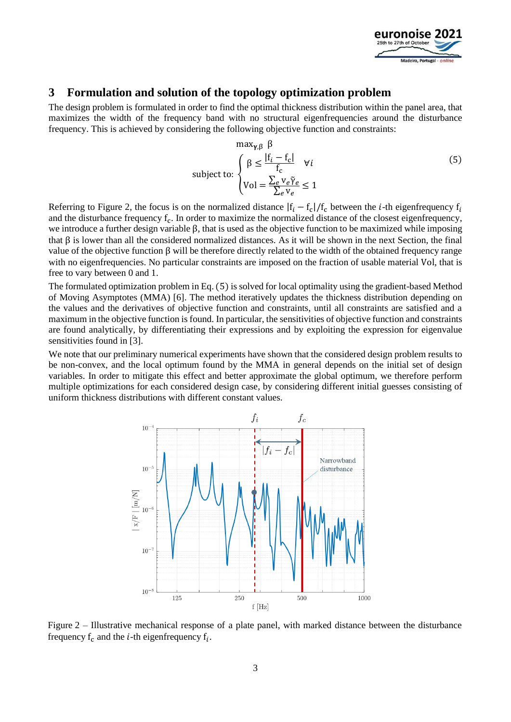

### **3 Formulation and solution of the topology optimization problem**

The design problem is formulated in order to find the optimal thickness distribution within the panel area, that maximizes the width of the frequency band with no structural eigenfrequencies around the disturbance frequency. This is achieved by considering the following objective function and constraints:

$$
\max_{\gamma,\beta} \beta
$$
  
subject to: 
$$
\begin{cases} \beta \le \frac{|f_i - f_c|}{f_c} & \forall i \\ \text{Vol} = \frac{\sum_e v_e \tilde{\gamma}_e}{\sum_e v_e} \le 1 \end{cases}
$$
 (5)

Referring to Figure 2, the focus is on the normalized distance  $|f_i - f_c|/f_c$  between the *i*-th eigenfrequency  $f_i$ and the disturbance frequency  $f_c$ . In order to maximize the normalized distance of the closest eigenfrequency, we introduce a further design variable β, that is used as the objective function to be maximized while imposing that β is lower than all the considered normalized distances. As it will be shown in the next Section, the final value of the objective function β will be therefore directly related to the width of the obtained frequency range with no eigenfrequencies. No particular constraints are imposed on the fraction of usable material Vol, that is free to vary between 0 and 1.

The formulated optimization problem in Eq. (5) is solved for local optimality using the gradient-based Method of Moving Asymptotes (MMA) [6]. The method iteratively updates the thickness distribution depending on the values and the derivatives of objective function and constraints, until all constraints are satisfied and a maximum in the objective function is found. In particular, the sensitivities of objective function and constraints are found analytically, by differentiating their expressions and by exploiting the expression for eigenvalue sensitivities found in [3].

We note that our preliminary numerical experiments have shown that the considered design problem results to be non-convex, and the local optimum found by the MMA in general depends on the initial set of design variables. In order to mitigate this effect and better approximate the global optimum, we therefore perform multiple optimizations for each considered design case, by considering different initial guesses consisting of uniform thickness distributions with different constant values.



Figure 2 – Illustrative mechanical response of a plate panel, with marked distance between the disturbance frequency  $f_c$  and the *i*-th eigenfrequency  $f_i$ .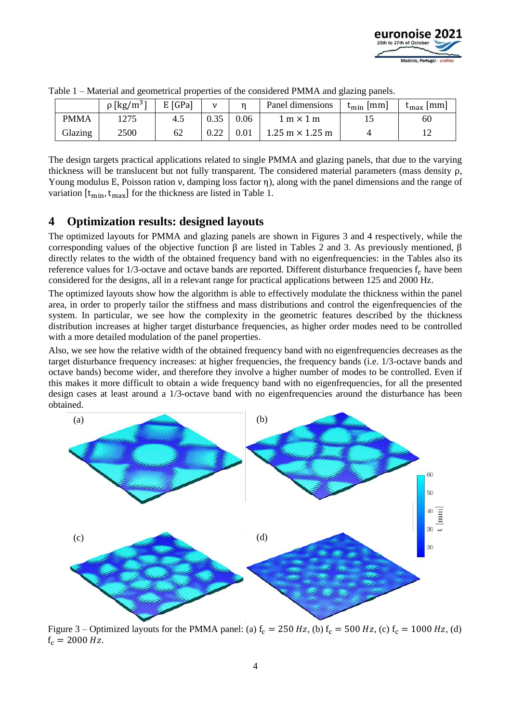

|             | $\rho$ [kg/m <sup>31</sup> | $E$ [GPa] | ν    |      | Panel dimensions                       | $t_{\min}$ [mm] | $t_{\text{max}}$ [mm] |
|-------------|----------------------------|-----------|------|------|----------------------------------------|-----------------|-----------------------|
| <b>PMMA</b> | 1275                       | 4.5       | 0.35 | 0.06 | $1~\mathrm{m} \times 1~\mathrm{m}$     |                 | 60                    |
| Glazing     | 2500                       | 62        | 0.22 | 0.01 | $1.25 \text{ m} \times 1.25 \text{ m}$ |                 |                       |

|  |  | Table 1 – Material and geometrical properties of the considered PMMA and glazing panels. |  |  |  |  |
|--|--|------------------------------------------------------------------------------------------|--|--|--|--|
|  |  |                                                                                          |  |  |  |  |

The design targets practical applications related to single PMMA and glazing panels, that due to the varying thickness will be translucent but not fully transparent. The considered material parameters (mass density ρ, Young modulus E, Poisson ration ν, damping loss factor η), along with the panel dimensions and the range of variation  $[t_{\min}, t_{\max}]$  for the thickness are listed in Table 1.

### **4 Optimization results: designed layouts**

The optimized layouts for PMMA and glazing panels are shown in Figures 3 and 4 respectively, while the corresponding values of the objective function β are listed in Tables 2 and 3. As previously mentioned, β directly relates to the width of the obtained frequency band with no eigenfrequencies: in the Tables also its reference values for  $1/3$ -octave and octave bands are reported. Different disturbance frequencies  $f_c$  have been considered for the designs, all in a relevant range for practical applications between 125 and 2000 Hz.

The optimized layouts show how the algorithm is able to effectively modulate the thickness within the panel area, in order to properly tailor the stiffness and mass distributions and control the eigenfrequencies of the system. In particular, we see how the complexity in the geometric features described by the thickness distribution increases at higher target disturbance frequencies, as higher order modes need to be controlled with a more detailed modulation of the panel properties.

Also, we see how the relative width of the obtained frequency band with no eigenfrequencies decreases as the target disturbance frequency increases: at higher frequencies, the frequency bands (i.e. 1/3-octave bands and octave bands) become wider, and therefore they involve a higher number of modes to be controlled. Even if this makes it more difficult to obtain a wide frequency band with no eigenfrequencies, for all the presented design cases at least around a 1/3-octave band with no eigenfrequencies around the disturbance has been obtained.



Figure 3 – Optimized layouts for the PMMA panel: (a)  $f_c = 250 Hz$ , (b)  $f_c = 500 Hz$ , (c)  $f_c = 1000 Hz$ , (d)  $f_c = 2000 Hz$ .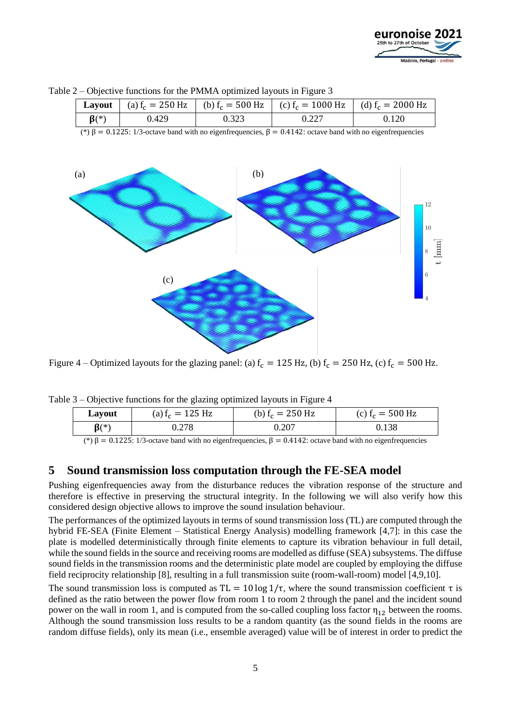



Table 2 – Objective functions for the PMMA optimized layouts in Figure 3

Figure 4 – Optimized layouts for the glazing panel: (a)  $f_c = 125$  Hz, (b)  $f_c = 250$  Hz, (c)  $f_c = 500$  Hz.

| Layout     | (a) $f_c = 125$ Hz | (b) $f_c = 250$ Hz | (c) $f_c = 500$ Hz |  |  |  |  |  |
|------------|--------------------|--------------------|--------------------|--|--|--|--|--|
| $\beta(*)$ | 0.278              | 0.207              | 0.138              |  |  |  |  |  |
|            |                    |                    |                    |  |  |  |  |  |

Table 3 – Objective functions for the glazing optimized layouts in Figure 4

(\*) β = 0.1225: 1/3-octave band with no eigenfrequencies, β = 0.4142: octave band with no eigenfrequencies

#### **5 Sound transmission loss computation through the FE-SEA model**

Pushing eigenfrequencies away from the disturbance reduces the vibration response of the structure and therefore is effective in preserving the structural integrity. In the following we will also verify how this considered design objective allows to improve the sound insulation behaviour.

The performances of the optimized layouts in terms of sound transmission loss (TL) are computed through the hybrid FE-SEA (Finite Element – Statistical Energy Analysis) modelling framework [4,7]: in this case the plate is modelled deterministically through finite elements to capture its vibration behaviour in full detail, while the sound fields in the source and receiving rooms are modelled as diffuse (SEA) subsystems. The diffuse sound fields in the transmission rooms and the deterministic plate model are coupled by employing the diffuse field reciprocity relationship [8], resulting in a full transmission suite (room-wall-room) model [4,9,10].

The sound transmission loss is computed as  $TL = 10 \log 1/\tau$ , where the sound transmission coefficient  $\tau$  is defined as the ratio between the power flow from room 1 to room 2 through the panel and the incident sound power on the wall in room 1, and is computed from the so-called coupling loss factor  $\eta_{12}$  between the rooms. Although the sound transmission loss results to be a random quantity (as the sound fields in the rooms are random diffuse fields), only its mean (i.e., ensemble averaged) value will be of interest in order to predict the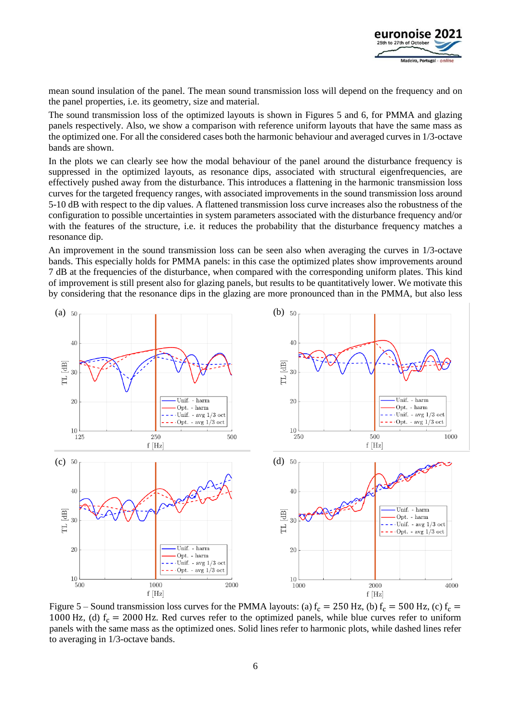

mean sound insulation of the panel. The mean sound transmission loss will depend on the frequency and on the panel properties, i.e. its geometry, size and material.

The sound transmission loss of the optimized layouts is shown in Figures 5 and 6, for PMMA and glazing panels respectively. Also, we show a comparison with reference uniform layouts that have the same mass as the optimized one. For all the considered cases both the harmonic behaviour and averaged curves in 1/3-octave bands are shown.

In the plots we can clearly see how the modal behaviour of the panel around the disturbance frequency is suppressed in the optimized layouts, as resonance dips, associated with structural eigenfrequencies, are effectively pushed away from the disturbance. This introduces a flattening in the harmonic transmission loss curves for the targeted frequency ranges, with associated improvements in the sound transmission loss around 5-10 dB with respect to the dip values. A flattened transmission loss curve increases also the robustness of the configuration to possible uncertainties in system parameters associated with the disturbance frequency and/or with the features of the structure, i.e. it reduces the probability that the disturbance frequency matches a resonance dip.

An improvement in the sound transmission loss can be seen also when averaging the curves in 1/3-octave bands. This especially holds for PMMA panels: in this case the optimized plates show improvements around 7 dB at the frequencies of the disturbance, when compared with the corresponding uniform plates. This kind of improvement is still present also for glazing panels, but results to be quantitatively lower. We motivate this by considering that the resonance dips in the glazing are more pronounced than in the PMMA, but also less



Figure 5 – Sound transmission loss curves for the PMMA layouts: (a)  $f_c = 250$  Hz, (b)  $f_c = 500$  Hz, (c)  $f_c =$ 1000 Hz, (d)  $f_c = 2000$  Hz. Red curves refer to the optimized panels, while blue curves refer to uniform panels with the same mass as the optimized ones. Solid lines refer to harmonic plots, while dashed lines refer to averaging in 1/3-octave bands.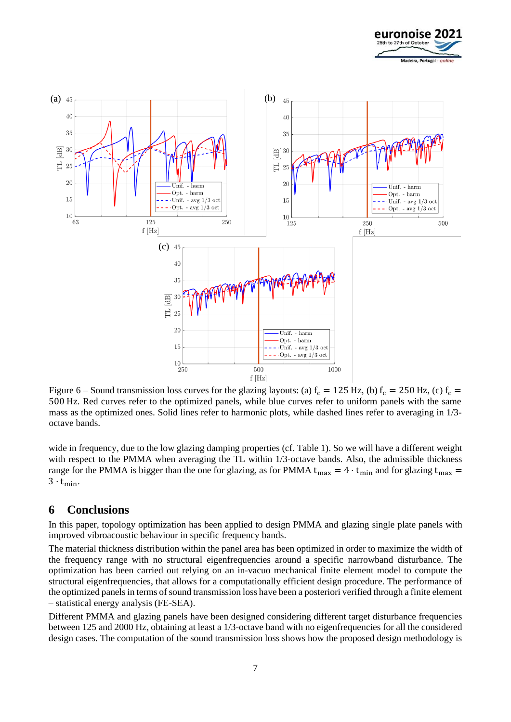



Figure 6 – Sound transmission loss curves for the glazing layouts: (a)  $f_c = 125$  Hz, (b)  $f_c = 250$  Hz, (c)  $f_c =$ 500 Hz. Red curves refer to the optimized panels, while blue curves refer to uniform panels with the same mass as the optimized ones. Solid lines refer to harmonic plots, while dashed lines refer to averaging in 1/3 octave bands.

wide in frequency, due to the low glazing damping properties (cf. Table 1). So we will have a different weight with respect to the PMMA when averaging the TL within 1/3-octave bands. Also, the admissible thickness range for the PMMA is bigger than the one for glazing, as for PMMA  $t_{max} = 4 \cdot t_{min}$  and for glazing  $t_{max} =$  $3 \cdot t_{\text{min}}$ .

#### **6 Conclusions**

In this paper, topology optimization has been applied to design PMMA and glazing single plate panels with improved vibroacoustic behaviour in specific frequency bands.

The material thickness distribution within the panel area has been optimized in order to maximize the width of the frequency range with no structural eigenfrequencies around a specific narrowband disturbance. The optimization has been carried out relying on an in-vacuo mechanical finite element model to compute the structural eigenfrequencies, that allows for a computationally efficient design procedure. The performance of the optimized panels in terms of sound transmission loss have been a posteriori verified through a finite element – statistical energy analysis (FE-SEA).

Different PMMA and glazing panels have been designed considering different target disturbance frequencies between 125 and 2000 Hz, obtaining at least a 1/3-octave band with no eigenfrequencies for all the considered design cases. The computation of the sound transmission loss shows how the proposed design methodology is